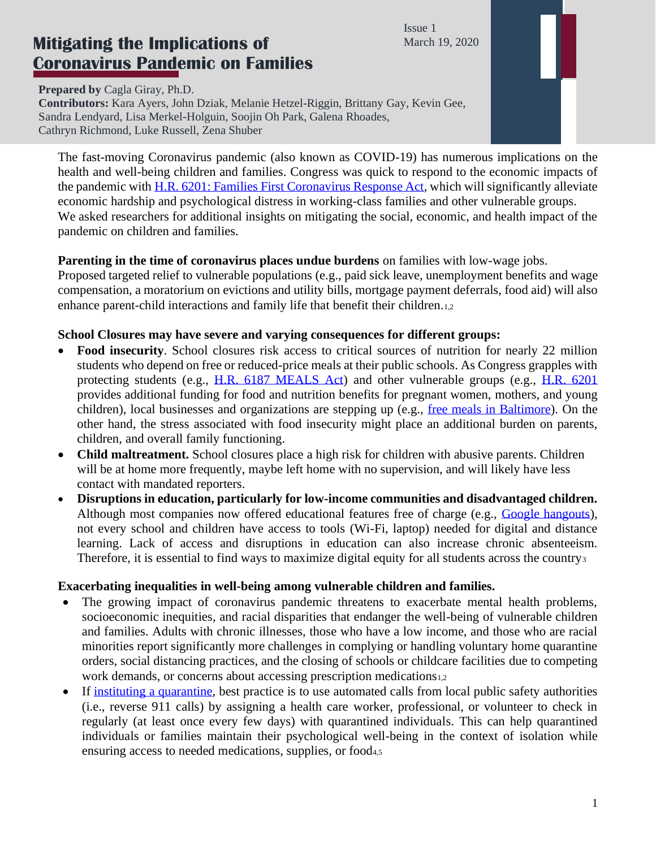Issue 1 March 19, 2020

# **Mitigating the Implications of Coronavirus Pandemic on Families**

**Prepared by** Cagla Giray, Ph.D. **Contributors:** Kara Ayers, John Dziak, Melanie Hetzel-Riggin, Brittany Gay, Kevin Gee, Sandra Lendyard, Lisa Merkel-Holguin, Soojin Oh Park, Galena Rhoades, Cathryn Richmond, Luke Russell, Zena Shuber

The fast-moving Coronavirus pandemic (also known as COVID-19) has numerous implications on the health and well-being children and families. Congress was quick to respond to the economic impacts of the pandemic with [H.R. 6201: Families First Coronavirus Response Act,](https://www.congress.gov/bill/116th-congress/house-bill/6201) which will significantly alleviate economic hardship and psychological distress in working-class families and other vulnerable groups. We asked researchers for additional insights on mitigating the social, economic, and health impact of the pandemic on children and families.

## **Parenting in the time of coronavirus places undue burdens** on families with low-wage jobs.

Proposed targeted relief to vulnerable populations (e.g., paid sick leave, unemployment benefits and wage compensation, a moratorium on evictions and utility bills, mortgage payment deferrals, food aid) will also enhance parent-child interactions and family life that benefit their children.1,2

## **School Closures may have severe and varying consequences for different groups:**

- **Food insecurity**. School closures risk access to critical sources of nutrition for nearly 22 million students who depend on free or reduced-price meals at their public schools. As Congress grapples with protecting students (e.g., [H.R. 6187 MEALS Act\)](https://edlabor.house.gov/imo/media/doc/MEALS%20Act%20Bill%20Text.pdf) and other vulnerable groups (e.g., [H.R. 6201](https://www.congress.gov/bill/116th-congress/house-bill/6201) provides additional funding for food and nutrition benefits for pregnant women, mothers, and young children), local businesses and organizations are stepping up (e.g., [free meals in Baltimore\)](/Users/caglagiray/Desktop/•%09https:/foxbaltimore.com/news/coronavirus/baltimore-schools-will-have-free-meals-for-students-while-schools-are-closed). On the other hand, the stress associated with food insecurity might place an additional burden on parents, children, and overall family functioning.
- **Child maltreatment.** School closures place a high risk for children with abusive parents. Children will be at home more frequently, maybe left home with no supervision, and will likely have less contact with mandated reporters.
- **Disruptions in education, particularly for low-income communities and disadvantaged children.**  Although most companies now offered educational features free of charge (e.g., [Google hangouts\)](https://www.businessinsider.com/google-hangouts-video-conferencing-free-coronavirus-zoom-2020-3), not every school and children have access to tools (Wi-Fi, laptop) needed for digital and distance learning. Lack of access and disruptions in education can also increase chronic absenteeism. Therefore, it is essential to find ways to maximize digital equity for all students across the country<sup>3</sup>

# **Exacerbating inequalities in well-being among vulnerable children and families.**

- The growing impact of coronavirus pandemic threatens to exacerbate mental health problems, socioeconomic inequities, and racial disparities that endanger the well-being of vulnerable children and families. Adults with chronic illnesses, those who have a low income, and those who are racial minorities report significantly more challenges in complying or handling voluntary home quarantine orders, social distancing practices, and the closing of schools or childcare facilities due to competing work demands, or concerns about accessing prescription medications1,2
- If [instituting a quarantine,](https://www.research2policy.org/covid19-healthcare-support) best practice is to use automated calls from local public safety authorities (i.e., reverse 911 calls) by assigning a health care worker, professional, or volunteer to check in regularly (at least once every few days) with quarantined individuals. This can help quarantined individuals or families maintain their psychological well-being in the context of isolation while ensuring access to needed medications, supplies, or food<sub>4,5</sub>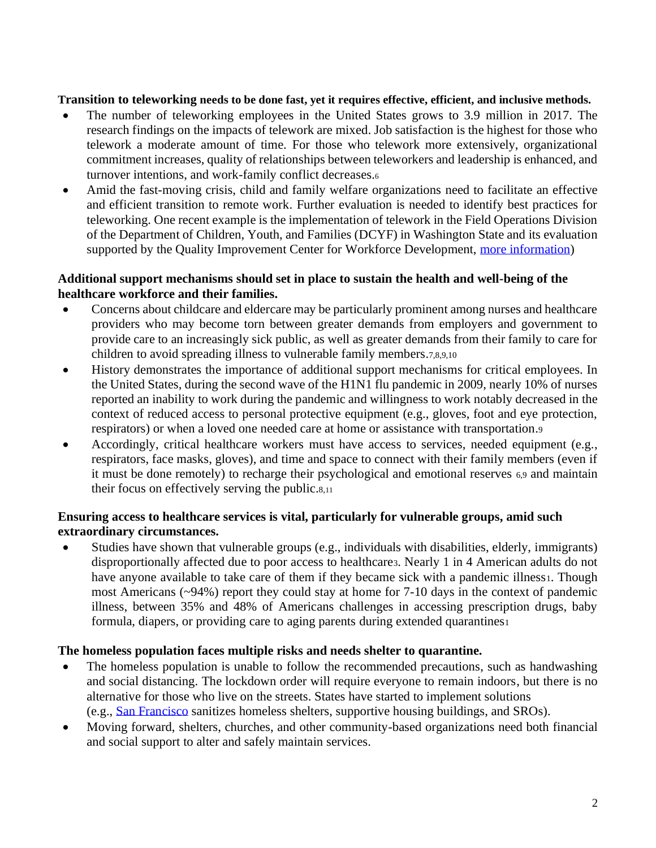#### **Transition to teleworking needs to be done fast, yet it requires effective, efficient, and inclusive methods.**

- The number of teleworking employees in the United States grows to 3.9 million in 2017. The research findings on the impacts of telework are mixed. Job satisfaction is the highest for those who telework a moderate amount of time. For those who telework more extensively, organizational commitment increases, quality of relationships between teleworkers and leadership is enhanced, and turnover intentions, and work-family conflict decreases.<sup>6</sup>
- Amid the fast-moving crisis, child and family welfare organizations need to facilitate an effective and efficient transition to remote work. Further evaluation is needed to identify best practices for teleworking. One recent example is the implementation of telework in the Field Operations Division of the Department of Children, Youth, and Families (DCYF) in Washington State and its evaluation supported by the Quality Improvement Center for Workforce Development, [more information\)](https://www.qic-wd.org/sites/default/files/WA%20Site%20Profile.pdf)

## **Additional support mechanisms should set in place to sustain the health and well-being of the healthcare workforce and their families.**

- Concerns about childcare and eldercare may be particularly prominent among nurses and healthcare providers who may become torn between greater demands from employers and government to provide care to an increasingly sick public, as well as greater demands from their family to care for children to avoid spreading illness to vulnerable family members.7,8,9,10
- History demonstrates the importance of additional support mechanisms for critical employees. In the United States, during the second wave of the H1N1 flu pandemic in 2009, nearly 10% of nurses reported an inability to work during the pandemic and willingness to work notably decreased in the context of reduced access to personal protective equipment (e.g., gloves, foot and eye protection, respirators) or when a loved one needed care at home or assistance with transportation.<sup>9</sup>
- Accordingly, critical healthcare workers must have access to services, needed equipment (e.g., respirators, face masks, gloves), and time and space to connect with their family members (even if it must be done remotely) to recharge their psychological and emotional reserves 6,9 and maintain their focus on effectively serving the public.8,<sup>11</sup>

#### **Ensuring access to healthcare services is vital, particularly for vulnerable groups, amid such extraordinary circumstances.**

• Studies have shown that vulnerable groups (e.g., individuals with disabilities, elderly, immigrants) disproportionally affected due to poor access to healthcare3. Nearly 1 in 4 American adults do not have anyone available to take care of them if they became sick with a pandemic illness1. Though most Americans (~94%) report they could stay at home for 7-10 days in the context of pandemic illness, between 35% and 48% of Americans challenges in accessing prescription drugs, baby formula, diapers, or providing care to aging parents during extended quarantines

#### **The homeless population faces multiple risks and needs shelter to quarantine.**

- The homeless population is unable to follow the recommended precautions, such as handwashing and social distancing. The lockdown order will require everyone to remain indoors, but there is no alternative for those who live on the streets. States have started to implement solutions (e.g., [San Francisco](https://www.businessinsider.com/san-francisco-coronavirus-homeless-bay-area-shelter-in-place-2020-3#the-stations-include-soap-dispensers-and-two-basins-with-foot-pumps-that-turn-the-water-on-4) sanitizes homeless shelters, supportive housing buildings, and SROs).
- Moving forward, shelters, churches, and other community-based organizations need both financial and social support to alter and safely maintain services.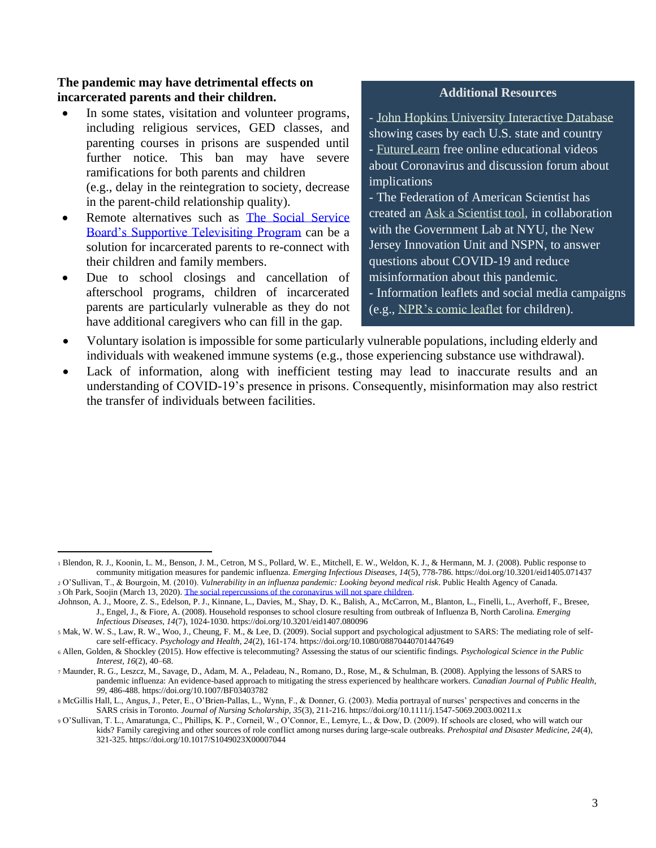#### **The pandemic may have detrimental effects on incarcerated parents and their children.**

- In some states, visitation and volunteer programs, including religious services, GED classes, and parenting courses in prisons are suspended until further notice. This ban may have severe ramifications for both parents and children (e.g., delay in the reintegration to society, decrease in the parent-child relationship quality).
- Remote alternatives such as The Social Service [Board's Supportive Televisiting Program](https://patch.com/new-york/new-york-city/video-calls-help-jailed-new-yorkers-stay-connected-families) can be a solution for incarcerated parents to re-connect with their children and family members.
- Due to school closings and cancellation of afterschool programs, children of incarcerated parents are particularly vulnerable as they do not have additional caregivers who can fill in the gap.

#### **Additional Resources**

- [John Hopkins University Interactive Database](https://www.arcgis.com/apps/opsdashboard/index.html#/bda7594740fd40299423467b48e9ecf6) showing cases by each U.S. state and country - [FutureLearn](https://www.futurelearn.com/courses/covid19-novel-coronavirus) free online educational videos about Coronavirus and discussion forum about implications

- The Federation of American Scientist has created an [Ask a Scientist tool,](https://u172330.ct.sendgrid.net/ls/click?upn=2epO3kjUn7gcsEnlVaW5QnCiz5QTTqBBOlz0e94JG-2B-2BvqJ2V5VPNORGmbtzQvxOF7f3g4sNvDzNyB1IhWauh5dS-2FUBBZu6zg3B7hyEG-2Fo5I-3DQOO8_VWqrhIGhKXss64ovRAeTLV-2F-2B04zpRMzyQVpOd2ZYtcEs7p8Ez5MO111r3l70-2F2xPrxomXWxMWaUhV-2BV-2B-2FGbx-2FHEyugqbPM-2F6c4iz8VUsQsWBEbzfJFRL6hE5pJeh6yulJLgYLuTNVTh9R5Me-2B94UW6NotiAkKs-2Bj6OGsJ0eI69sAxP9a9ZjPexP2rmC-2Fgk0ddy-2FAdjyzupT2HkZHqUlIiNfjFQ05XbutIVanMFIBMOeGqwWbQKswnCx4nlEaWHvbcNuyW6YVi5-2BSEINxmDQ54pvsiz-2BfxKhDtcPBNwrTCXWj1QJY8vZw3EEAffs8WTiaVUMqJ3jX-2B4OJgdCYljrE3Q-3D-3D) in collaboration with the Government Lab at NYU, the New Jersey Innovation Unit and NSPN, to answer questions about COVID-19 and reduce misinformation about this pandemic.

- Information leaflets and social media campaigns (e.g., [NPR's comic leaflet](/Users/caglagiray/Dropbox/RPC-NPSC/Responses/NPR%20has%20a%20printable%20informative%20leaflet%20for%20kids,%20which%20might%20be%20helpful:%20https:/drive.google.com/file/d/1PYrKYfOBa4p-azI5z_46KJMbi1FSmL_Y/view) for children).

- Voluntary isolation is impossible for some particularly vulnerable populations, including elderly and individuals with weakened immune systems (e.g., those experiencing substance use withdrawal).
- Lack of information, along with inefficient testing may lead to inaccurate results and an understanding of COVID-19's presence in prisons. Consequently, misinformation may also restrict the transfer of individuals between facilities.

<sup>1</sup> Blendon, R. J., Koonin, L. M., Benson, J. M., Cetron, M S., Pollard, W. E., Mitchell, E. W., Weldon, K. J., & Hermann, M. J. (2008). Public response to community mitigation measures for pandemic influenza. *Emerging Infectious Diseases, 14*(5), 778-786. https://doi.org/10.3201/eid1405.071437 <sup>2</sup> O'Sullivan, T., & Bourgoin, M. (2010). *Vulnerability in an influenza pandemic: Looking beyond medical risk*. Public Health Agency of Canada.

<sup>3</sup> Oh Park, Soojin (March 13, 2020)[. The social repercussions of the coronavirus will not spare children.](https://www.seattletimes.com/opinion/why-the-new-coronavirus-will-not-spare-children/) 

<sup>4</sup>Johnson, A. J., Moore, Z. S., Edelson, P. J., Kinnane, L., Davies, M., Shay, D. K., Balish, A., McCarron, M., Blanton, L., Finelli, L., Averhoff, F., Bresee, J., Engel, J., & Fiore, A. (2008). Household responses to school closure resulting from outbreak of Influenza B, North Carolina. *Emerging Infectious Diseases, 14*(7), 1024-1030. https://doi.org/10.3201/eid1407.080096

<sup>5</sup> Mak, W. W. S., Law, R. W., Woo, J., Cheung, F. M., & Lee, D. (2009). Social support and psychological adjustment to SARS: The mediating role of selfcare self-efficacy. *Psychology and Health, 24*(2), 161-174. https://doi.org/10.1080/08870440701447649

<sup>6</sup> Allen, Golden, & Shockley (2015). How effective is telecommuting? Assessing the status of our scientific findings. *Psychological Science in the Public Interest, 16*(2), 40–68.

<sup>7</sup> Maunder, R. G., Leszcz, M., Savage, D., Adam, M. A., Peladeau, N., Romano, D., Rose, M., & Schulman, B. (2008). Applying the lessons of SARS to pandemic influenza: An evidence-based approach to mitigating the stress experienced by healthcare workers. *Canadian Journal of Public Health, 99,* 486-488. https://doi.org/10.1007/BF03403782

<sup>8</sup> McGillis Hall, L., Angus, J., Peter, E., O'Brien-Pallas, L., Wynn, F., & Donner, G. (2003). Media portrayal of nurses' perspectives and concerns in the SARS crisis in Toronto. *Journal of Nursing Scholarship, 35*(3), 211-216. https://doi.org/10.1111/j.1547-5069.2003.00211.x

<sup>9</sup> O'Sullivan, T. L., Amaratunga, C., Phillips, K. P., Corneil, W., O'Connor, E., Lemyre, L., & Dow, D. (2009). If schools are closed, who will watch our kids? Family caregiving and other sources of role conflict among nurses during large-scale outbreaks. *Prehospital and Disaster Medicine, 24*(4), 321-325. https://doi.org/10.1017/S1049023X00007044